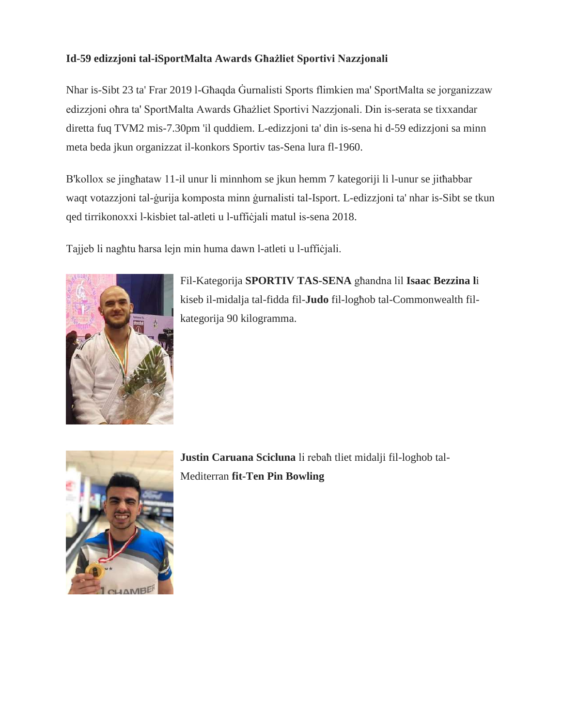## **Id-59 edizzjoni tal-iSportMalta Awards Għażliet Sportivi Nazzjonali**

Nhar is-Sibt 23 ta' Frar 2019 l-Għaqda Ġurnalisti Sports flimkien ma' SportMalta se jorganizzaw edizzjoni oħra ta' SportMalta Awards Għażliet Sportivi Nazzjonali. Din is-serata se tixxandar diretta fuq TVM2 mis-7.30pm 'il quddiem. L-edizzjoni ta' din is-sena hi d-59 edizzjoni sa minn meta beda jkun organizzat il-konkors Sportiv tas-Sena lura fl-1960.

B'kollox se jingħataw 11-il unur li minnhom se jkun hemm 7 kategoriji li l-unur se jitħabbar waqt votazzjoni tal-ġurija komposta minn ġurnalisti tal-Isport. L-edizzjoni ta' nhar is-Sibt se tkun qed tirrikonoxxi l-kisbiet tal-atleti u l-uffiċjali matul is-sena 2018.

Tajjeb li nagħtu ħarsa lejn min huma dawn l-atleti u l-uffiċjali.



Fil-Kategorija **SPORTIV TAS-SENA** għandna lil **Isaac Bezzina l**i kiseb il-midalja tal-fidda fil-**Judo** fil-logħob tal-Commonwealth filkategorija 90 kilogramma.



**Justin Caruana Scicluna** li rebaħ tliet midalji fil-loghob tal-Mediterran **fit-Ten Pin Bowling**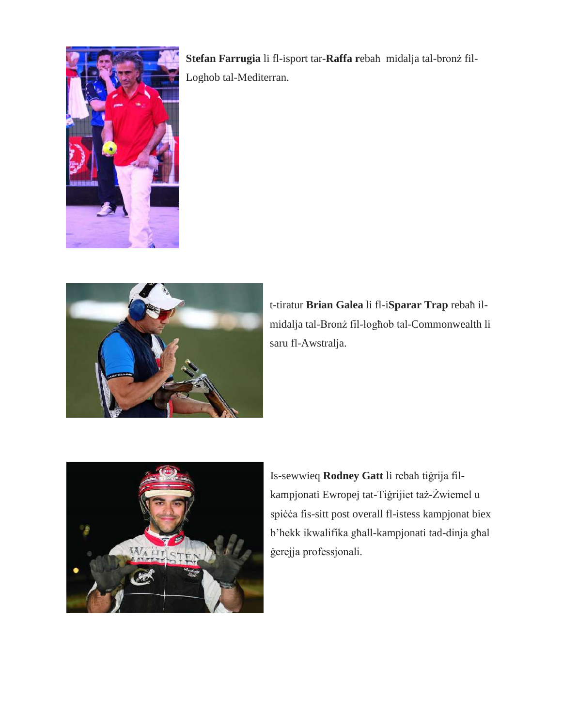

**Stefan Farrugia** li fl-isport tar-**Raffa r**ebaħ midalja tal-bronż fil-Loghob tal-Mediterran.



t-tiratur **Brian Galea** li fl-i**Sparar Trap** rebaħ ilmidalja tal-Bronż fil-logħob tal-Commonwealth li saru fl-Awstralja.



Is-sewwieq **Rodney Gatt** li rebah tiġrija filkampjonati Ewropej tat-Tiġrijiet taż-Żwiemel u spiċċa fis-sitt post overall fl-istess kampjonat biex b'hekk ikwalifika għall-kampjonati tad-dinja għal ġerejja professjonali.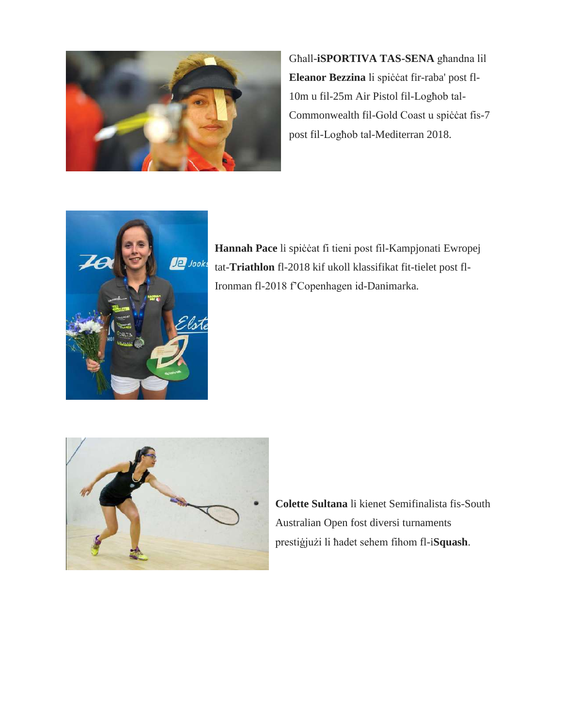

Għall-**iSPORTIVA TAS-SENA** għandna lil **Eleanor Bezzina** li spiċċat fir-raba' post fl-10m u fil-25m Air Pistol fil-Logħob tal-Commonwealth fil-Gold Coast u spiċċat fis-7 post fil-Logħob tal-Mediterran 2018.



**Hannah Pace** li spiċċat fi tieni post fil-Kampjonati Ewropej tat-**Triathlon** fl-2018 kif ukoll klassifikat fit-tielet post fl-Ironman fl-2018 f'Copenhagen id-Danimarka.



**Colette Sultana** li kienet Semifinalista fis-South Australian Open fost diversi turnaments prestiġjużi li ħadet sehem fihom fl-i**Squash**.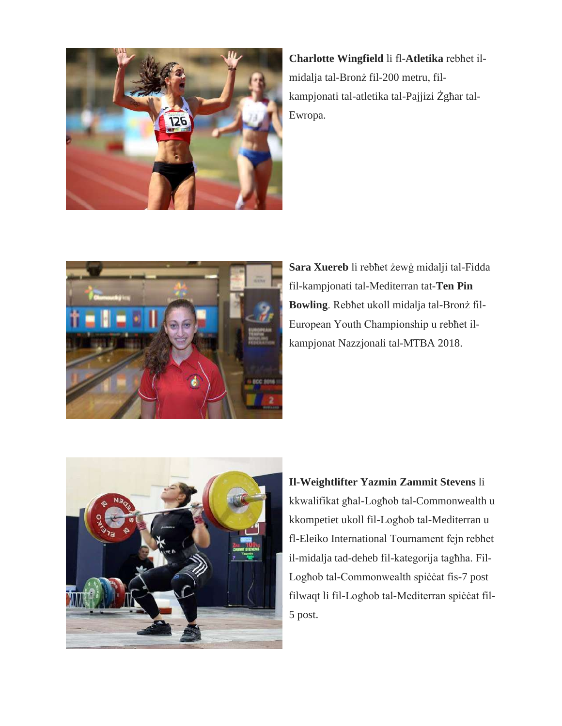

**Charlotte Wingfield** li fl-**Atletika** rebħet ilmidalja tal-Bronż fil-200 metru, filkampjonati tal-atletika tal-Pajjizi Żgħar tal-Ewropa.



**Sara Xuereb** li rebħet żewġ midalji tal-Fidda fil-kampjonati tal-Mediterran tat-**Ten Pin Bowling**. Rebħet ukoll midalja tal-Bronż fil-European Youth Championship u rebħet ilkampjonat Nazzjonali tal-MTBA 2018.



**Il-Weightlifter Yazmin Zammit Stevens** li kkwalifikat għal-Logħob tal-Commonwealth u kkompetiet ukoll fil-Logħob tal-Mediterran u fl-Eleiko International Tournament fejn rebħet il-midalja tad-deheb fil-kategorija tagħha. Fil-Logħob tal-Commonwealth spiċċat fis-7 post filwaqt li fil-Logħob tal-Mediterran spiċċat fil-5 post.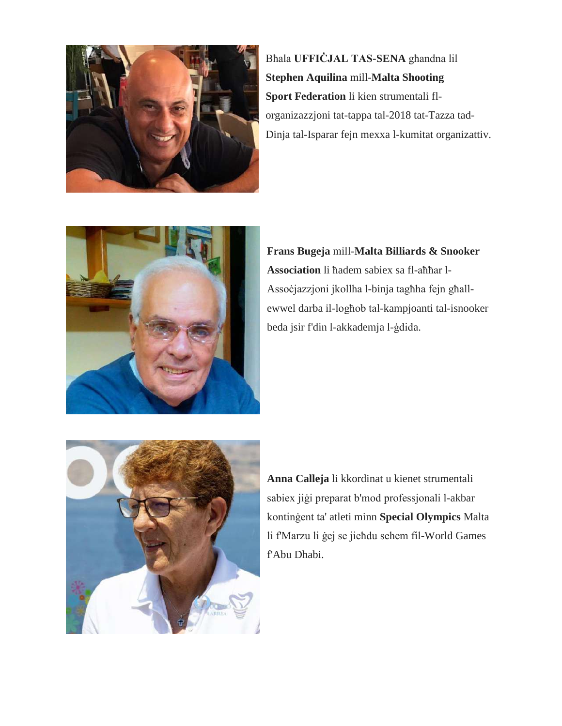

Bħala **UFFIĊJAL TAS-SENA** għandna lil **Stephen Aquilina** mill-**Malta Shooting Sport Federation** li kien strumentali florganizazzjoni tat-tappa tal-2018 tat-Tazza tad-Dinja tal-Isparar fejn mexxa l-kumitat organizattiv.



**Frans Bugeja** mill-**Malta Billiards & Snooker Association** li ħadem sabiex sa fl-aħħar l-Assoċjazzjoni jkollha l-binja tagħha fejn għallewwel darba il-logħob tal-kampjoanti tal-isnooker beda jsir f'din l-akkademja l-ġdida.



**Anna Calleja** li kkordinat u kienet strumentali sabiex jiġi preparat b'mod professjonali l-akbar kontinġent ta' atleti minn **Special Olympics** Malta li f'Marzu li ġej se jieħdu sehem fil-World Games f'Abu Dhabi.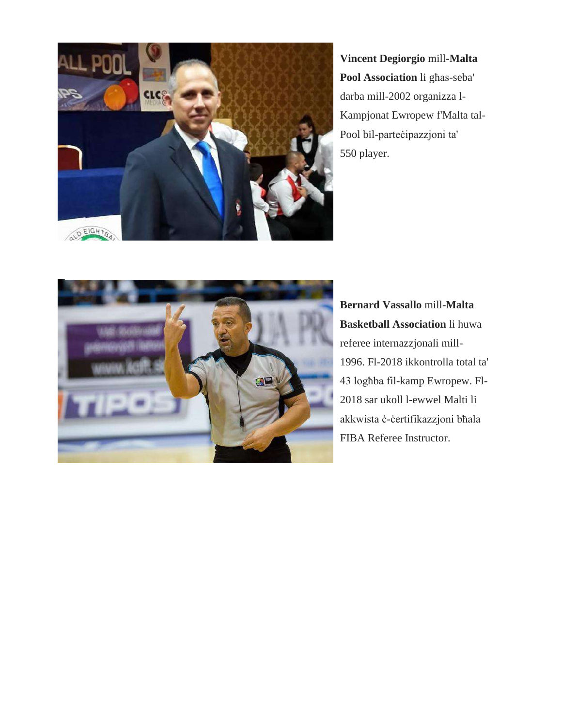

**Vincent Degiorgio** mill**-Malta Pool Association** li għas-seba' darba mill-2002 organizza l-Kampjonat Ewropew f'Malta tal-Pool bil-parteċipazzjoni ta' 550 player.



**Bernard Vassallo** mill**-Malta Basketball Association** li huwa referee internazzjonali mill-1996. Fl-2018 ikkontrolla total ta' 43 logħba fil-kamp Ewropew. Fl-2018 sar ukoll l-ewwel Malti li akkwista ċ-ċertifikazzjoni bħala FIBA Referee Instructor.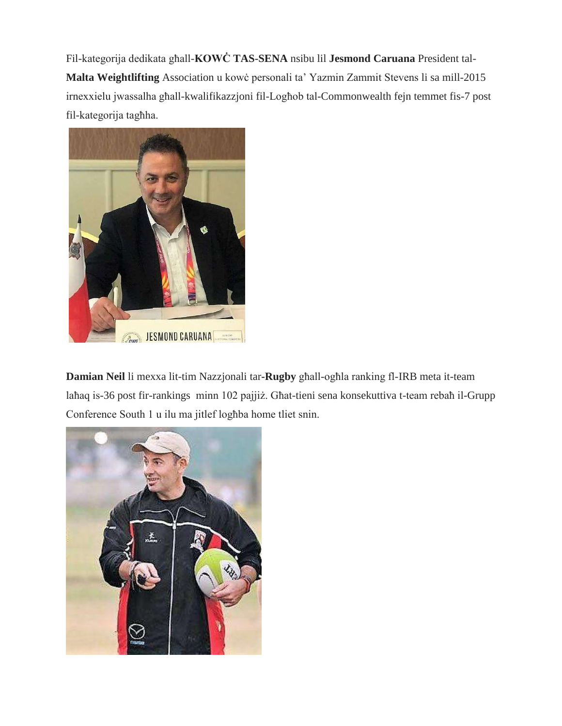Fil-kategorija dedikata għall-**KOWĊ TAS-SENA** nsibu lil **Jesmond Caruana** President tal-**Malta Weightlifting** Association u kowċ personali ta' Yazmin Zammit Stevens li sa mill-2015 irnexxielu jwassalha għall-kwalifikazzjoni fil-Logħob tal-Commonwealth fejn temmet fis-7 post fil-kategorija tagħha.



**Damian Neil** li mexxa lit-tim Nazzjonali tar**-Rugby** għall-ogħla ranking fl-IRB meta it-team laħaq is-36 post fir-rankings minn 102 pajjiż. Għat-tieni sena konsekuttiva t-team rebaħ il-Grupp Conference South 1 u ilu ma jitlef logħba home tliet snin.

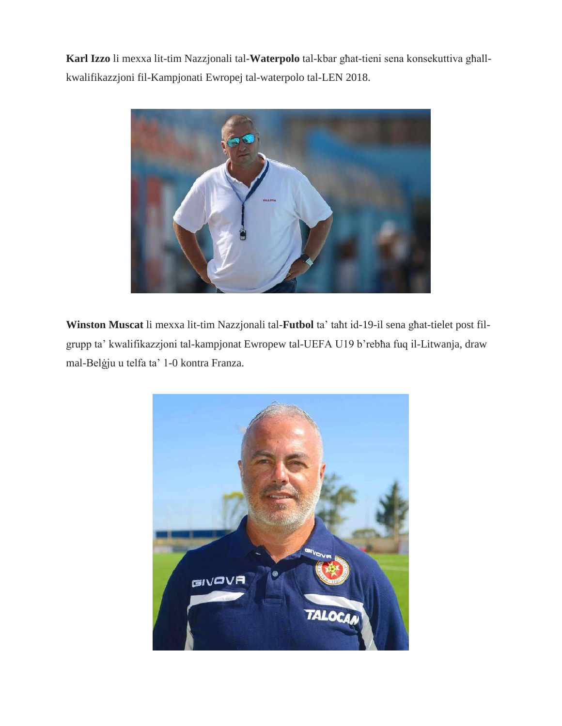**Karl Izzo** li mexxa lit-tim Nazzjonali tal-**Waterpolo** tal-kbar għat-tieni sena konsekuttiva għallkwalifikazzjoni fil-Kampjonati Ewropej tal-waterpolo tal-LEN 2018.



**Winston Muscat** li mexxa lit-tim Nazzjonali tal-**Futbol** ta' taħt id-19-il sena għat-tielet post filgrupp ta' kwalifikazzjoni tal-kampjonat Ewropew tal-UEFA U19 b'rebħa fuq il-Litwanja, draw mal-Belġju u telfa ta' 1-0 kontra Franza.

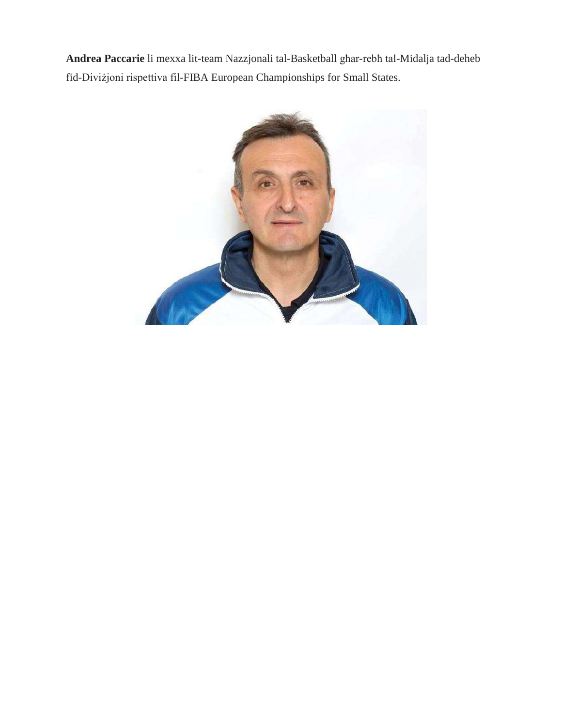**Andrea Paccarie** li mexxa lit-team Nazzjonali tal-Basketball għar-rebħ tal-Midalja tad-deheb fid-Diviżjoni rispettiva fil-FIBA European Championships for Small States.

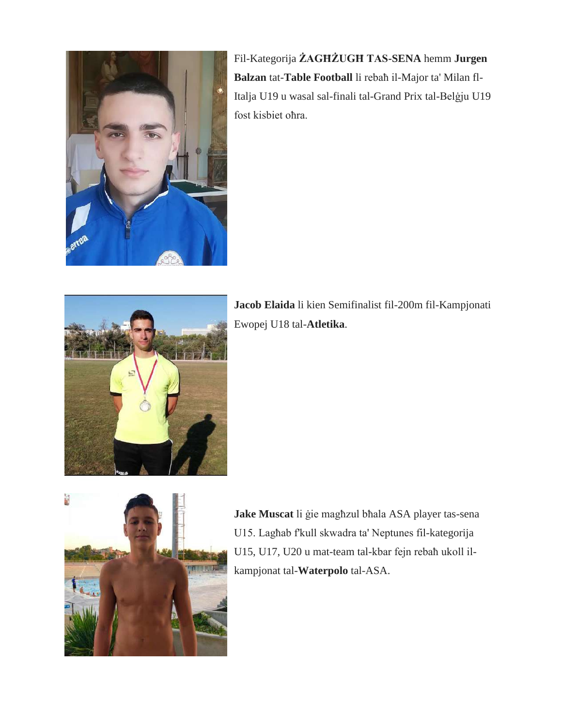

Fil-Kategorija **ŻAGĦŻUGĦ TAS-SENA** hemm **Jurgen Balzan** tat-**Table Football** li rebaħ il-Major ta' Milan fl-Italja U19 u wasal sal-finali tal-Grand Prix tal-Belġju U19 fost kisbiet oħra.



**Jacob Elaida** li kien Semifinalist fil-200m fil-Kampjonati Ewopej U18 tal-**Atletika**.



**Jake Muscat** li ġie magħzul bħala ASA player tas-sena U15. Lagħab f'kull skwadra ta' Neptunes fil-kategorija U15, U17, U20 u mat-team tal-kbar fejn rebaħ ukoll ilkampjonat tal-**Waterpolo** tal-ASA.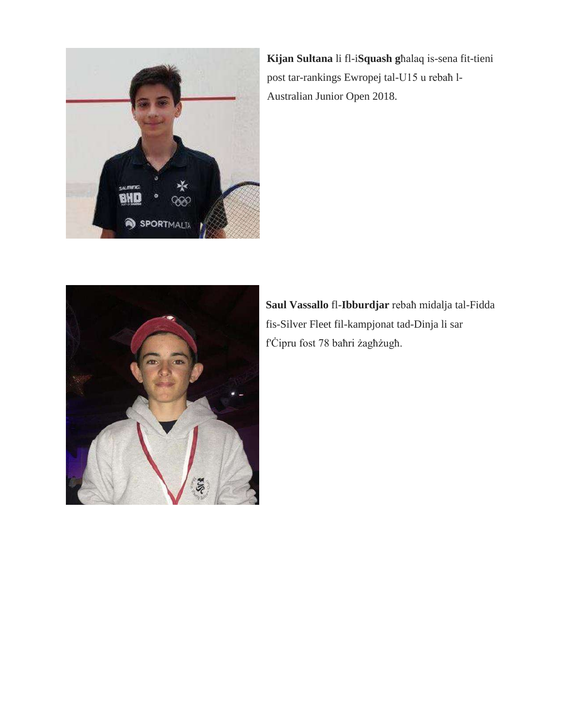

**Kijan Sultana** li fl-i**Squash g**ħalaq is-sena fit-tieni post tar-rankings Ewropej tal-U15 u rebaħ l-Australian Junior Open 2018.



**Saul Vassallo** fl-**Ibburdjar** rebaħ midalja tal-Fidda fis-Silver Fleet fil-kampjonat tad-Dinja li sar f'Ċipru fost 78 baħri żagħżugħ.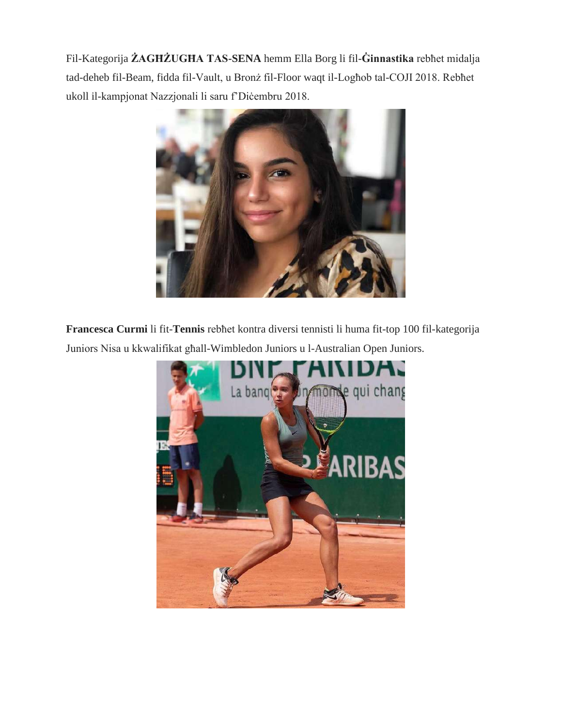Fil-Kategorija **ŻAGĦŻUGĦA TAS-SENA** hemm Ella Borg li fil-**Ġinnastika** rebħet midalja tad-deheb fil-Beam, fidda fil-Vault, u Bronż fil-Floor waqt il-Logħob tal-COJI 2018. Rebħet ukoll il-kampjonat Nazzjonali li saru f'Diċembru 2018.



**Francesca Curmi** li fit-**Tennis** rebħet kontra diversi tennisti li huma fit-top 100 fil-kategorija Juniors Nisa u kkwalifikat għall-Wimbledon Juniors u l-Australian Open Juniors.

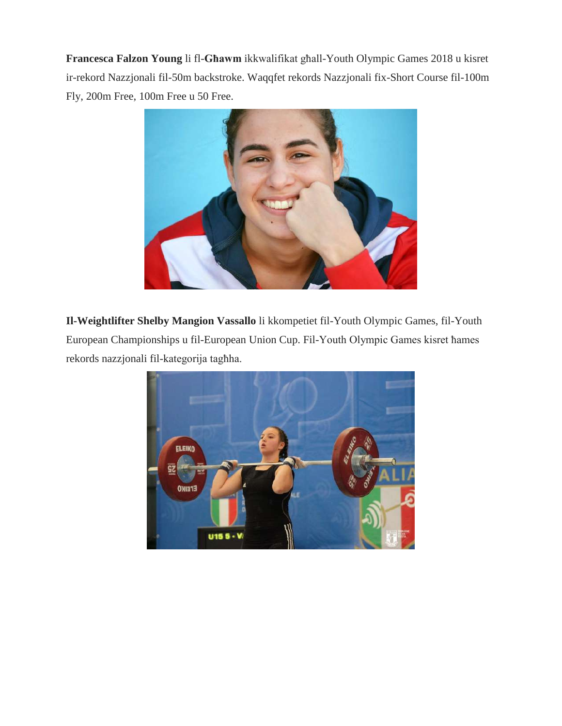**Francesca Falzon Young** li fl-**Għawm** ikkwalifikat għall-Youth Olympic Games 2018 u kisret ir-rekord Nazzjonali fil-50m backstroke. Waqqfet rekords Nazzjonali fix-Short Course fil-100m Fly, 200m Free, 100m Free u 50 Free.



**Il-Weightlifter Shelby Mangion Vassallo** li kkompetiet fil-Youth Olympic Games, fil-Youth European Championships u fil-European Union Cup. Fil-Youth Olympic Games kisret ħames rekords nazzjonali fil-kategorija tagħha.

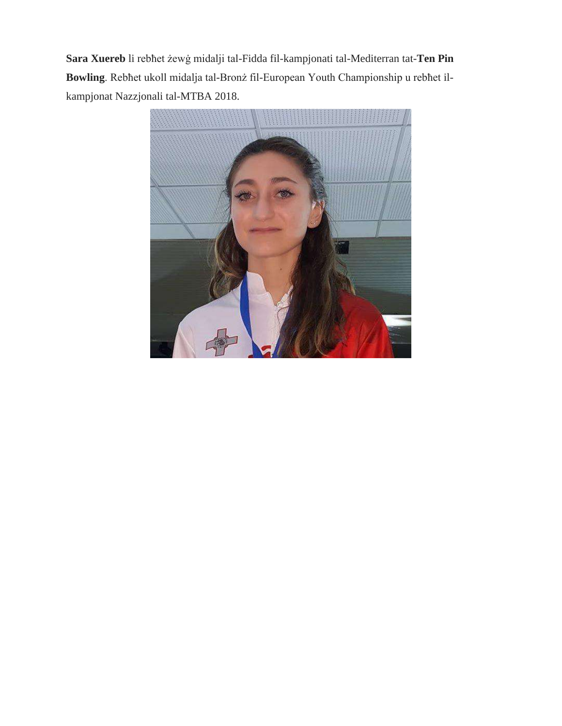**Sara Xuereb** li rebħet żewġ midalji tal-Fidda fil-kampjonati tal-Mediterran tat-**Ten Pin Bowling**. Rebħet ukoll midalja tal-Bronż fil-European Youth Championship u rebħet ilkampjonat Nazzjonali tal-MTBA 2018.

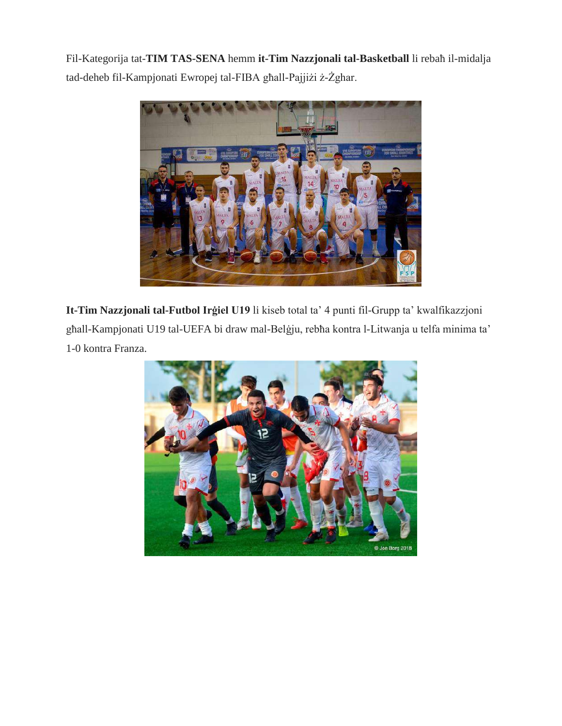Fil-Kategorija tat-**TIM TAS-SENA** hemm **it-Tim Nazzjonali tal-Basketball** li rebaħ il-midalja tad-deheb fil-Kampjonati Ewropej tal-FIBA għall-Pajjiżi ż-Żghar.



**It-Tim Nazzjonali tal-Futbol Irġiel U19** li kiseb total ta' 4 punti fil-Grupp ta' kwalfikazzjoni għall-Kampjonati U19 tal-UEFA bi draw mal-Belġju, rebħa kontra l-Litwanja u telfa minima ta' 1-0 kontra Franza.

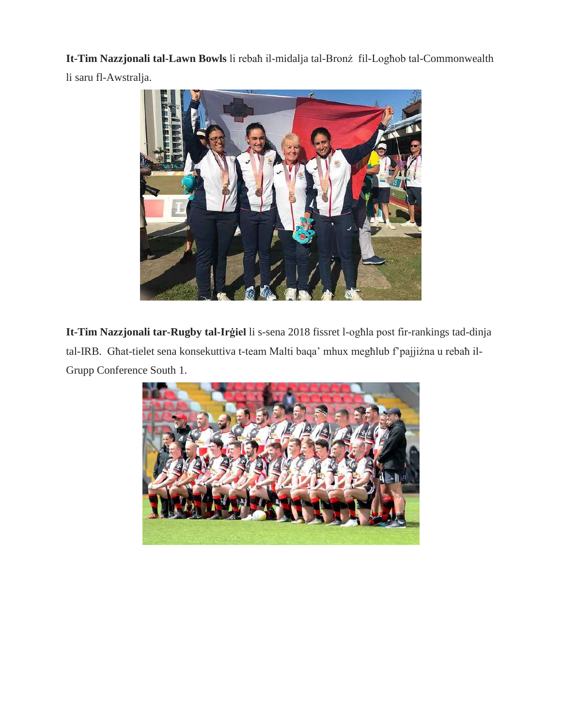**It-Tim Nazzjonali tal-Lawn Bowls** li rebaħ il-midalja tal-Bronż fil-Logħob tal-Commonwealth li saru fl-Awstralja.



**It-Tim Nazzjonali tar-Rugby tal-Irġiel** li s-sena 2018 fissret l-ogħla post fir-rankings tad-dinja tal-IRB. Għat-tielet sena konsekuttiva t-team Malti baqa' mhux megħlub f'pajjiżna u rebaħ il-Grupp Conference South 1.

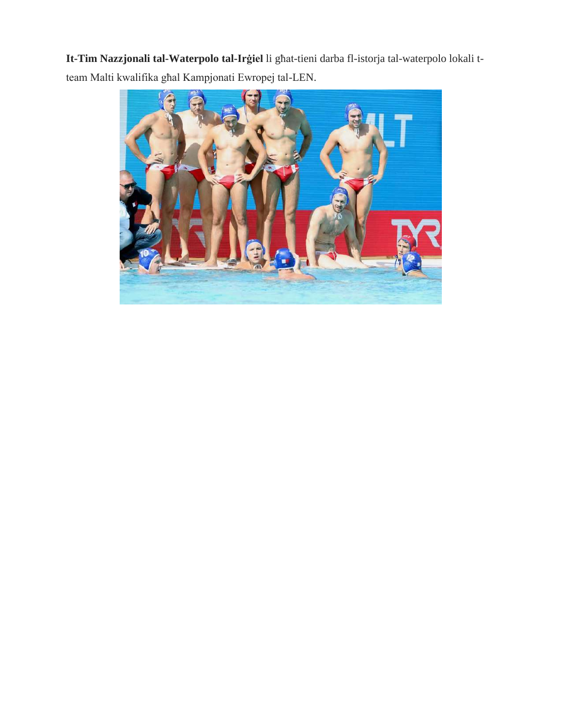**It-Tim Nazzjonali tal-Waterpolo tal-Irġiel** li għat-tieni darba fl-istorja tal-waterpolo lokali tteam Malti kwalifika għal Kampjonati Ewropej tal-LEN.

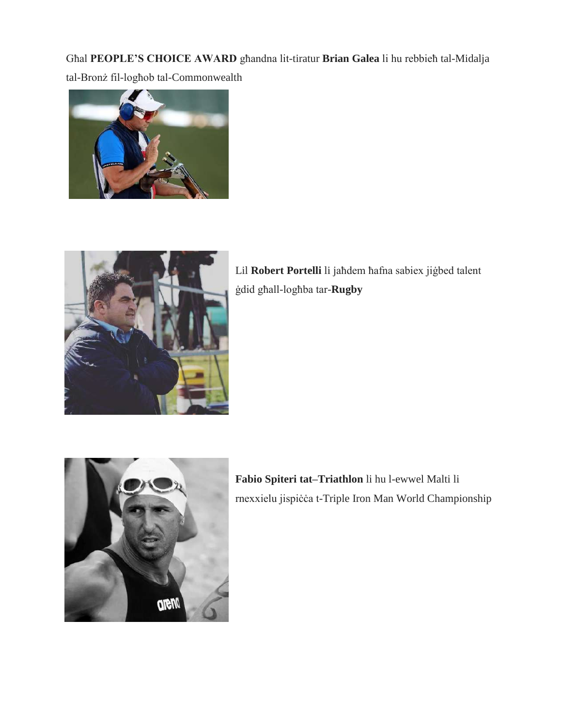## Għal **PEOPLE'S CHOICE AWARD** għandna lit-tiratur **Brian Galea** li hu rebbieħ tal-Midalja

tal-Bronż fil-logħob tal-Commonwealth





Lil **Robert Portelli** li jaħdem ħafna sabiex jiġbed talent ġdid għall-logħba tar-**Rugby**



**Fabio Spiteri tat–Triathlon** li hu l-ewwel Malti li rnexxielu jispiċċa t-Triple Iron Man World Championship